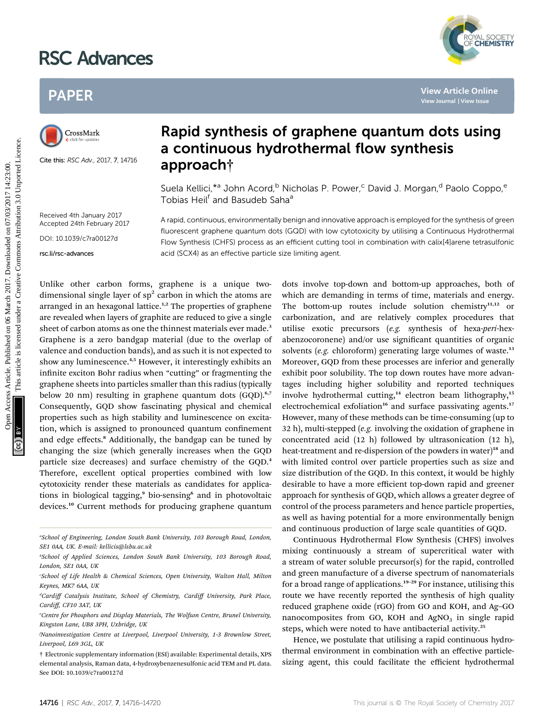# RSC Advances



# PAPER



Cite this: RSC Adv., 2017, 7, 14716

## Rapid synthesis of graphene quantum dots using a continuous hydrothermal flow synthesis approach†

Suela Kellici,<sup>\*a</sup> John Acord,<sup>b</sup> Nicholas P. Power,<sup>c</sup> David J. Morgan,<sup>d</sup> Paolo Coppo,<sup>e</sup> Tobias Heil<sup>f</sup> and Basudeb Saha<sup>®</sup>

Received 4th January 2017 Accepted 24th February 2017

DOI: 10.1039/c7ra00127d

rsc.li/rsc-advances

A rapid, continuous, environmentally benign and innovative approach is employed for the synthesis of green fluorescent graphene quantum dots (GQD) with low cytotoxicity by utilising a Continuous Hydrothermal Flow Synthesis (CHFS) process as an efficient cutting tool in combination with calix[4]arene tetrasulfonic acid (SCX4) as an effective particle size limiting agent.

Unlike other carbon forms, graphene is a unique twodimensional single layer of  $sp<sup>2</sup>$  carbon in which the atoms are arranged in an hexagonal lattice.<sup>1,2</sup> The properties of graphene are revealed when layers of graphite are reduced to give a single sheet of carbon atoms as one the thinnest materials ever made.<sup>3</sup> Graphene is a zero bandgap material (due to the overlap of valence and conduction bands), and as such it is not expected to show any luminescence.<sup>4,5</sup> However, it interestingly exhibits an infinite exciton Bohr radius when "cutting" or fragmenting the graphene sheets into particles smaller than this radius (typically below 20 nm) resulting in graphene quantum dots (GQD).<sup>6,7</sup> Consequently, GQD show fascinating physical and chemical properties such as high stability and luminescence on excitation, which is assigned to pronounced quantum confinement and edge effects.<sup>8</sup> Additionally, the bandgap can be tuned by changing the size (which generally increases when the GQD particle size decreases) and surface chemistry of the GQD.<sup>4</sup> Therefore, excellent optical properties combined with low cytotoxicity render these materials as candidates for applications in biological tagging,<sup>9</sup> bio-sensing<sup>6</sup> and in photovoltaic devices.<sup>10</sup> Current methods for producing graphene quantum PAPER<br>
Papid synthesis of graphene quantum dots using<br>
a continuous hydrothermal flow synthesis<br>
a continuous hydrothermal flow synthesis<br>
a continuous hydrothermal flow synthesis<br>
a paproach<sup>+</sup><br>
Suela Rellici<sup>49</sup> John Ac

a School of Engineering, London South Bank University, 103 Borough Road, London, SE1 0AA, UK. E-mail: kellicis@lsbu.ac.uk

dots involve top-down and bottom-up approaches, both of which are demanding in terms of time, materials and energy. The bottom-up routes include solution chemistry $11,12$  or carbonization, and are relatively complex procedures that utilise exotic precursors (e.g. synthesis of hexa-peri-hexabenzocoronene) and/or use significant quantities of organic solvents (e.g. chloroform) generating large volumes of waste. $13$ Moreover, GQD from these processes are inferior and generally exhibit poor solubility. The top down routes have more advantages including higher solubility and reported techniques involve hydrothermal cutting,<sup>14</sup> electron beam lithography,<sup>15</sup> electrochemical exfoliation<sup>16</sup> and surface passivating agents.<sup>17</sup> However, many of these methods can be time-consuming (up to 32 h), multi-stepped (e.g. involving the oxidation of graphene in concentrated acid (12 h) followed by ultrasonication (12 h), heat-treatment and re-dispersion of the powders in water)<sup>18</sup> and with limited control over particle properties such as size and size distribution of the GQD. In this context, it would be highly desirable to have a more efficient top-down rapid and greener approach for synthesis of GQD, which allows a greater degree of control of the process parameters and hence particle properties, as well as having potential for a more environmentally benign and continuous production of large scale quantities of GQD.

Continuous Hydrothermal Flow Synthesis (CHFS) involves mixing continuously a stream of supercritical water with a stream of water soluble precursor(s) for the rapid, controlled and green manufacture of a diverse spectrum of nanomaterials for a broad range of applications.<sup>19-29</sup> For instance, utilising this route we have recently reported the synthesis of high quality reduced graphene oxide (rGO) from GO and KOH, and Ag–GO nanocomposites from GO, KOH and  $AgNO<sub>3</sub>$  in single rapid steps, which were noted to have antibacterial activity.<sup>25</sup>

Hence, we postulate that utilising a rapid continuous hydrothermal environment in combination with an effective particlesizing agent, this could facilitate the efficient hydrothermal

b School of Applied Sciences, London South Bank University, 103 Borough Road, London, SE1 0AA, UK

c School of Life Health & Chemical Sciences, Open University, Walton Hall, Milton Keynes, MK7 6AA, UK

<sup>&</sup>lt;sup>a</sup>Cardiff Catalysis Institute, School of Chemistry, Cardiff University, Park Place, Cardiff, CF10 3AT, UK

e Centre for Phosphors and Display Materials, The Wolfson Centre, Brunel University, Kingston Lane, UB8 3PH, Uxbridge, UK

f Nanoinvestigation Centre at Liverpool, Liverpool University, 1-3 Brownlow Street, Liverpool, L69 3GL, UK

<sup>†</sup> Electronic supplementary information (ESI) available: Experimental details, XPS elemental analysis, Raman data, 4-hydroxybenzenesulfonic acid TEM and PL data. See DOI: 10.1039/c7ra00127d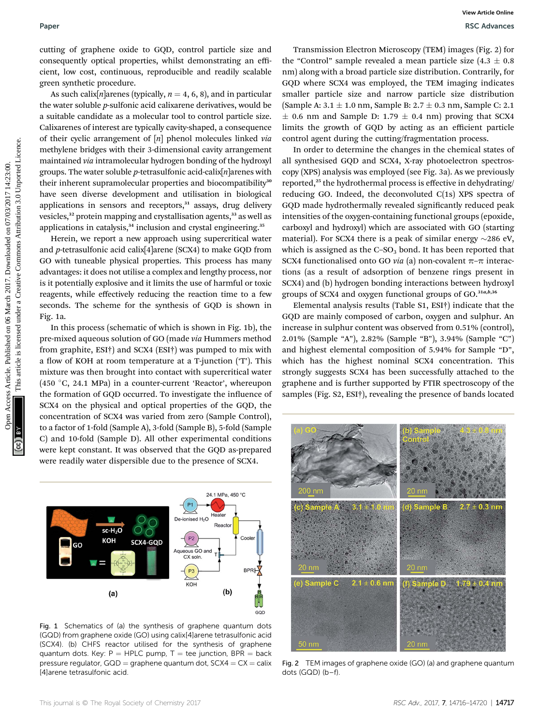cutting of graphene oxide to GQD, control particle size and consequently optical properties, whilst demonstrating an efficient, low cost, continuous, reproducible and readily scalable green synthetic procedure.

As such calix[n]arenes (typically,  $n = 4, 6, 8$ ), and in particular the water soluble p-sulfonic acid calixarene derivatives, would be a suitable candidate as a molecular tool to control particle size. Calixarenes of interest are typically cavity-shaped, a consequence of their cyclic arrangement of  $[n]$  phenol molecules linked via methylene bridges with their 3-dimensional cavity arrangement maintained via intramolecular hydrogen bonding of the hydroxyl groups. The water soluble *p*-tetrasulfonic acid-calix $[n]$ arenes with their inherent supramolecular properties and biocompatibility<sup>30</sup> have seen diverse development and utilisation in biological applications in sensors and receptors, $31$  assays, drug delivery vesicles,<sup>32</sup> protein mapping and crystallisation agents,<sup>33</sup> as well as applications in catalysis,<sup>34</sup> inclusion and crystal engineering.<sup>35</sup>

Herein, we report a new approach using supercritical water and p-tetrasulfonic acid calix[4]arene (SCX4) to make GQD from GO with tuneable physical properties. This process has many advantages: it does not utilise a complex and lengthy process, nor is it potentially explosive and it limits the use of harmful or toxic reagents, while effectively reducing the reaction time to a few seconds. The scheme for the synthesis of GQD is shown in Fig. 1a.

In this process (schematic of which is shown in Fig. 1b), the pre-mixed aqueous solution of GO (made via Hummers method from graphite, ESI†) and SCX4 (ESI†) was pumped to mix with a flow of KOH at room temperature at a T-junction ( $T$ ). This mixture was then brought into contact with supercritical water (450  $^{\circ}$ C, 24.1 MPa) in a counter-current 'Reactor', whereupon the formation of GQD occurred. To investigate the influence of SCX4 on the physical and optical properties of the GQD, the concentration of SCX4 was varied from zero (Sample Control), to a factor of 1-fold (Sample A), 3-fold (Sample B), 5-fold (Sample C) and 10-fold (Sample D). All other experimental conditions were kept constant. It was observed that the GQD as-prepared were readily water dispersible due to the presence of SCX4.



Fig. 1 Schematics of (a) the synthesis of graphene quantum dots (GQD) from graphene oxide (GO) using calix[4]arene tetrasulfonic acid (SCX4). (b) CHFS reactor utilised for the synthesis of graphene quantum dots. Key:  $P = HPLC$  pump,  $T =$  tee junction, BPR = back pressure regulator,  $GQD =$  graphene quantum dot,  $SCX4 = CX =$  calix [4]arene tetrasulfonic acid.

Transmission Electron Microscopy (TEM) images (Fig. 2) for the "Control" sample revealed a mean particle size  $(4.3 \pm 0.8)$ nm) along with a broad particle size distribution. Contrarily, for GQD where SCX4 was employed, the TEM imaging indicates smaller particle size and narrow particle size distribution (Sample A:  $3.1 \pm 1.0$  nm, Sample B:  $2.7 \pm 0.3$  nm, Sample C: 2.1  $\pm$  0.6 nm and Sample D: 1.79  $\pm$  0.4 nm) proving that SCX4 limits the growth of GQD by acting as an efficient particle control agent during the cutting/fragmentation process.

In order to determine the changes in the chemical states of all synthesised GQD and SCX4, X-ray photoelectron spectroscopy (XPS) analysis was employed (see Fig. 3a). As we previously reported,<sup>25</sup> the hydrothermal process is effective in dehydrating/ reducing GO. Indeed, the deconvoluted C(1s) XPS spectra of GOD made hydrothermally revealed significantly reduced peak intensities of the oxygen-containing functional groups (epoxide, carboxyl and hydroxyl) which are associated with GO (starting material). For SCX4 there is a peak of similar energy  $\sim$ 286 eV, which is assigned as the  $C$ -SO<sub>3</sub> bond. It has been reported that SCX4 functionalised onto GO *via* (a) non-covalent  $\pi$ - $\pi$  interactions (as a result of adsorption of benzene rings present in SCX4) and (b) hydrogen bonding interactions between hydroxyl groups of SCX4 and oxygen functional groups of GO.<sup>31a,b,36</sup> Paper<br>
Consequence continues, which are noted by methods and the consequence of the consequence of the consequence of the common and the common and the common and the common and the common and the common and the common and

Elemental analysis results (Table S1, ESI†) indicate that the GQD are mainly composed of carbon, oxygen and sulphur. An increase in sulphur content was observed from 0.51% (control), 2.01% (Sample "A"), 2.82% (Sample "B"), 3.94% (Sample "C") and highest elemental composition of 5.94% for Sample "D", which has the highest nominal SCX4 concentration. This strongly suggests SCX4 has been successfully attached to the graphene and is further supported by FTIR spectroscopy of the samples (Fig. S2, ESI†), revealing the presence of bands located



Fig. 2 TEM images of graphene oxide (GO) (a) and graphene quantum dots (GQD) (b–f).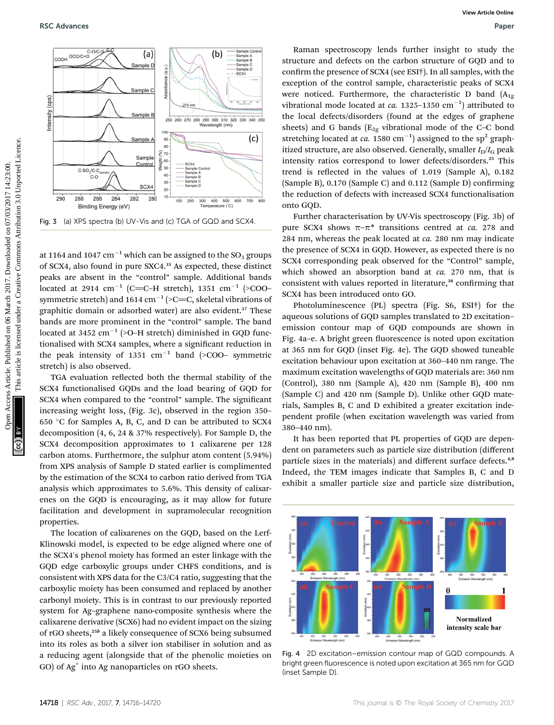

at 1164 and 1047  $cm^{-1}$  which can be assigned to the SO<sub>3</sub> groups of SCX4, also found in pure SXC4.<sup>31</sup> As expected, these distinct peaks are absent in the "control" sample. Additional bands located at 2914 cm<sup>-1</sup> (C=C-H stretch), 1351 cm<sup>-1</sup> (>COO– symmetric stretch) and 1614 cm<sup>-1</sup> (>C=C, skeletal vibrations of graphitic domain or adsorbed water) are also evident.<sup>37</sup> These bands are more prominent in the "control" sample. The band located at 3452  $\text{cm}^{-1}$  (>O-H stretch) diminished in GQD functionalised with SCX4 samples, where a significant reduction in the peak intensity of 1351  $\text{cm}^{-1}$  band (>COO– symmetric stretch) is also observed.

TGA evaluation reflected both the thermal stability of the SCX4 functionalised GQDs and the load bearing of GQD for SCX4 when compared to the "control" sample. The significant increasing weight loss, (Fig. 3c), observed in the region 350– 650  $\,^{\circ}\mathrm{C}$  for Samples A, B, C, and D can be attributed to SCX4 decomposition (4, 6, 24 & 37% respectively). For Sample D, the SCX4 decomposition approximates to 1 calixarene per 128 carbon atoms. Furthermore, the sulphur atom content (5.94%) from XPS analysis of Sample D stated earlier is complimented by the estimation of the SCX4 to carbon ratio derived from TGA analysis which approximates to 5.6%. This density of calixarenes on the GQD is encouraging, as it may allow for future facilitation and development in supramolecular recognition properties.

The location of calixarenes on the GQD, based on the Lerf-Klinowski model, is expected to be edge aligned where one of the SCX4's phenol moiety has formed an ester linkage with the GQD edge carboxylic groups under CHFS conditions, and is consistent with XPS data for the C3/C4 ratio, suggesting that the carboxylic moiety has been consumed and replaced by another carbonyl moiety. This is in contrast to our previously reported system for Ag–graphene nano-composite synthesis where the calixarene derivative (SCX6) had no evident impact on the sizing of rGO sheets, $25b$  a likely consequence of SCX6 being subsumed into its roles as both a silver ion stabiliser in solution and as a reducing agent (alongside that of the phenolic moieties on  $GO$ ) of  $Ag<sup>+</sup>$  into Ag nanoparticles on rGO sheets.

Raman spectroscopy lends further insight to study the structure and defects on the carbon structure of GQD and to confirm the presence of SCX4 (see ESI<sup>†</sup>). In all samples, with the exception of the control sample, characteristic peaks of SCX4 were noticed. Furthermore, the characteristic D band  $(A_{1g})$ vibrational mode located at *ca.* 1325–1350  $\text{cm}^{-1}$ ) attributed to the local defects/disorders (found at the edges of graphene sheets) and G bands  $(E_{2g}$  vibrational mode of the C–C bond stretching located at *ca*. 1580 cm<sup>-1</sup>) assigned to the sp<sup>2</sup> graphitized structure, are also observed. Generally, smaller  $I_D/I_G$  peak intensity ratios correspond to lower defects/disorders.<sup>25</sup> This trend is reflected in the values of  $1.019$  (Sample A),  $0.182$  $(Sample B)$ , 0.170  $(Sample C)$  and 0.112  $(Sample D)$  confirming the reduction of defects with increased SCX4 functionalisation onto GQD.

Further characterisation by UV-Vis spectroscopy (Fig. 3b) of pure SCX4 shows  $\pi-\pi^*$  transitions centred at *ca.* 278 and 284 nm, whereas the peak located at  $ca.$  280 nm may indicate the presence of SCX4 in GQD. However, as expected there is no SCX4 corresponding peak observed for the "Control" sample, which showed an absorption band at ca. 270 nm, that is consistent with values reported in literature,<sup>38</sup> confirming that SCX4 has been introduced onto GO.

Photoluminescence (PL) spectra (Fig. S6, ESI†) for the aqueous solutions of GQD samples translated to 2D excitation– emission contour map of GQD compounds are shown in Fig. 4a-e. A bright green fluorescence is noted upon excitation at 365 nm for GQD (inset Fig. 4e). The GQD showed tuneable excitation behaviour upon excitation at 360–440 nm range. The maximum excitation wavelengths of GQD materials are: 360 nm (Control), 380 nm (Sample A), 420 nm (Sample B), 400 nm (Sample C) and 420 nm (Sample D). Unlike other GQD materials, Samples B, C and D exhibited a greater excitation independent profile (when excitation wavelength was varied from 380–440 nm).

It has been reported that PL properties of GQD are dependent on parameters such as particle size distribution (different particle sizes in the materials) and different surface defects.<sup>4,8</sup> Indeed, the TEM images indicate that Samples B, C and D exhibit a smaller particle size and particle size distribution,



Fig. 4 2D excitation–emission contour map of GQD compounds. A bright green fluorescence is noted upon excitation at 365 nm for GQD (inset Sample D).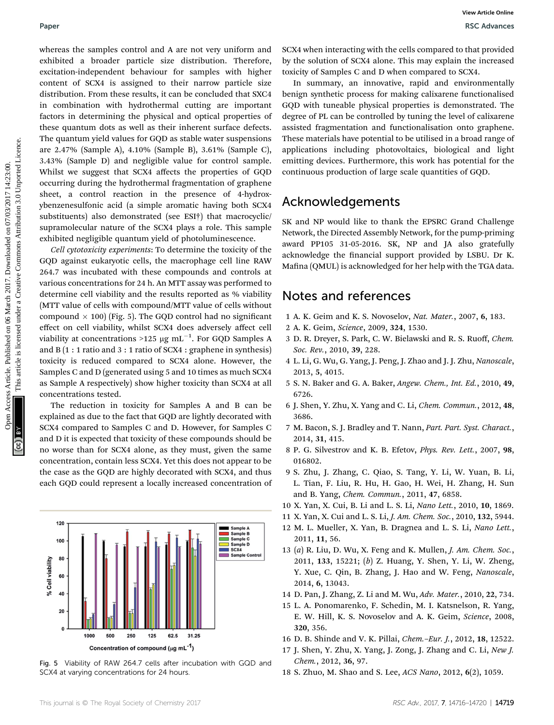whereas the samples control and A are not very uniform and exhibited a broader particle size distribution. Therefore, excitation-independent behaviour for samples with higher content of SCX4 is assigned to their narrow particle size distribution. From these results, it can be concluded that SXC4 in combination with hydrothermal cutting are important factors in determining the physical and optical properties of these quantum dots as well as their inherent surface defects. The quantum yield values for GQD as stable water suspensions are 2.47% (Sample A), 4.10% (Sample B), 3.61% (Sample C), 3.43% (Sample D) and negligible value for control sample. Whilst we suggest that SCX4 affects the properties of GQD occurring during the hydrothermal fragmentation of graphene sheet, a control reaction in the presence of 4-hydroxybenzenesulfonic acid (a simple aromatic having both SCX4 substituents) also demonstrated (see ESI†) that macrocyclic/ supramolecular nature of the SCX4 plays a role. This sample exhibited negligible quantum yield of photoluminescence. Paper<br>
Notice chines the manufest control and A are not way uniform and SXX when thereship with the chines control on the control of the section of the source of the control of the section of the section of the section of

Cell cytotoxicity experiments: To determine the toxicity of the GQD against eukaryotic cells, the macrophage cell line RAW 264.7 was incubated with these compounds and controls at various concentrations for 24 h. An MTT assay was performed to determine cell viability and the results reported as % viability (MTT value of cells with compound/MTT value of cells without compound  $\times$  100) (Fig. 5). The GQD control had no significant effect on cell viability, whilst SCX4 does adversely affect cell viability at concentrations >125  $\rm \mu g\ mL^{-1}.$  For GQD Samples A and  $B(1:1$  ratio and  $3:1$  ratio of SCX4 : graphene in synthesis) toxicity is reduced compared to SCX4 alone. However, the Samples C and D (generated using 5 and 10 times as much SCX4 as Sample A respectively) show higher toxicity than SCX4 at all concentrations tested.

The reduction in toxicity for Samples A and B can be explained as due to the fact that GQD are lightly decorated with SCX4 compared to Samples C and D. However, for Samples C and D it is expected that toxicity of these compounds should be no worse than for SCX4 alone, as they must, given the same concentration, contain less SCX4. Yet this does not appear to be the case as the GQD are highly decorated with SCX4, and thus each GQD could represent a locally increased concentration of



Fig. 5 Viability of RAW 264.7 cells after incubation with GQD and SCX4 at varying concentrations for 24 hours.

SCX4 when interacting with the cells compared to that provided by the solution of SCX4 alone. This may explain the increased toxicity of Samples C and D when compared to SCX4.

In summary, an innovative, rapid and environmentally benign synthetic process for making calixarene functionalised GQD with tuneable physical properties is demonstrated. The degree of PL can be controlled by tuning the level of calixarene assisted fragmentation and functionalisation onto graphene. These materials have potential to be utilised in a broad range of applications including photovoltaics, biological and light emitting devices. Furthermore, this work has potential for the continuous production of large scale quantities of GQD.

### Acknowledgements

SK and NP would like to thank the EPSRC Grand Challenge Network, the Directed Assembly Network, for the pump-priming award PP105 31-05-2016. SK, NP and JA also gratefully acknowledge the financial support provided by LSBU. Dr K. Mafina (QMUL) is acknowledged for her help with the TGA data.

### Notes and references

- 1 A. K. Geim and K. S. Novoselov, Nat. Mater., 2007, 6, 183.
- 2 A. K. Geim, Science, 2009, 324, 1530.
- 3 D. R. Dreyer, S. Park, C. W. Bielawski and R. S. Ruoff, Chem. Soc. Rev., 2010, 39, 228.
- 4 L. Li, G. Wu, G. Yang, J. Peng, J. Zhao and J. J. Zhu, Nanoscale, 2013, 5, 4015.
- 5 S. N. Baker and G. A. Baker, Angew. Chem., Int. Ed., 2010, 49, 6726.
- 6 J. Shen, Y. Zhu, X. Yang and C. Li, Chem. Commun., 2012, 48, 3686.
- 7 M. Bacon, S. J. Bradley and T. Nann, Part. Part. Syst. Charact., 2014, 31, 415.
- 8 P. G. Silvestrov and K. B. Efetov, Phys. Rev. Lett., 2007, 98, 016802.
- 9 S. Zhu, J. Zhang, C. Qiao, S. Tang, Y. Li, W. Yuan, B. Li, L. Tian, F. Liu, R. Hu, H. Gao, H. Wei, H. Zhang, H. Sun and B. Yang, Chem. Commun., 2011, 47, 6858.
- 10 X. Yan, X. Cui, B. Li and L. S. Li, Nano Lett., 2010, 10, 1869.
- 11 X. Yan, X. Cui and L. S. Li, J. Am. Chem. Soc., 2010, 132, 5944.
- 12 M. L. Mueller, X. Yan, B. Dragnea and L. S. Li, Nano Lett., 2011, 11, 56.
- 13 (a) R. Liu, D. Wu, X. Feng and K. Mullen, J. Am. Chem. Soc., 2011, 133, 15221; (b) Z. Huang, Y. Shen, Y. Li, W. Zheng, Y. Xue, C. Qin, B. Zhang, J. Hao and W. Feng, Nanoscale, 2014, 6, 13043.
- 14 D. Pan, J. Zhang, Z. Li and M. Wu, Adv. Mater., 2010, 22, 734.
- 15 L. A. Ponomarenko, F. Schedin, M. I. Katsnelson, R. Yang, E. W. Hill, K. S. Novoselov and A. K. Geim, Science, 2008, 320, 356.
- 16 D. B. Shinde and V. K. Pillai, Chem.–Eur. J., 2012, 18, 12522.
- 17 J. Shen, Y. Zhu, X. Yang, J. Zong, J. Zhang and C. Li, New J. Chem., 2012, 36, 97.
- 18 S. Zhuo, M. Shao and S. Lee, ACS Nano, 2012, 6(2), 1059.